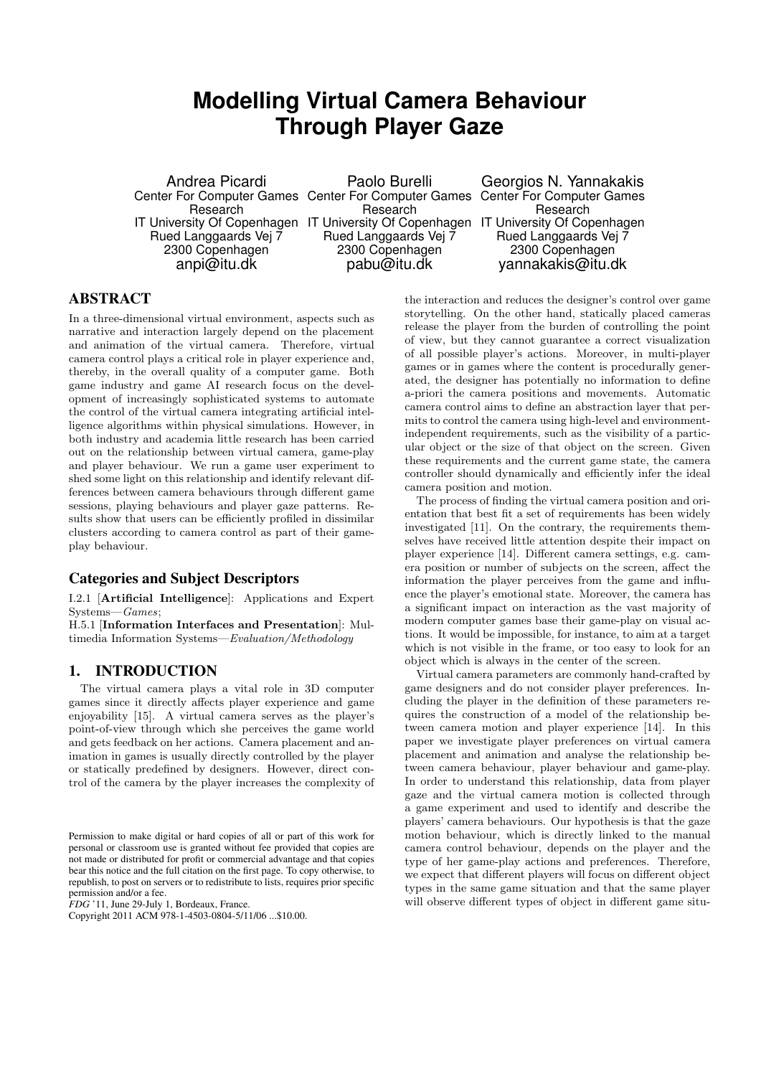# **Modelling Virtual Camera Behaviour Through Player Gaze**

Andrea Picardi Center For Computer Games Center For Computer Games Center For Computer Games Research IT University Of Copenhagen IT University Of Copenhagen IT University Of Copenhagen Rued Langgaards Vej 7 2300 Copenhagen anpi@itu.dk

Paolo Burelli Research Rued Langgaards Vej 7 2300 Copenhagen pabu@itu.dk

Georgios N. Yannakakis Research Rued Langgaards Vej 7 2300 Copenhagen yannakakis@itu.dk

## ABSTRACT

In a three-dimensional virtual environment, aspects such as narrative and interaction largely depend on the placement and animation of the virtual camera. Therefore, virtual camera control plays a critical role in player experience and, thereby, in the overall quality of a computer game. Both game industry and game AI research focus on the development of increasingly sophisticated systems to automate the control of the virtual camera integrating artificial intelligence algorithms within physical simulations. However, in both industry and academia little research has been carried out on the relationship between virtual camera, game-play and player behaviour. We run a game user experiment to shed some light on this relationship and identify relevant differences between camera behaviours through different game sessions, playing behaviours and player gaze patterns. Results show that users can be efficiently profiled in dissimilar clusters according to camera control as part of their gameplay behaviour.

## Categories and Subject Descriptors

I.2.1 [Artificial Intelligence]: Applications and Expert Systems—Games;

H.5.1 [Information Interfaces and Presentation]: Multimedia Information Systems—Evaluation/Methodology

# 1. INTRODUCTION

The virtual camera plays a vital role in 3D computer games since it directly affects player experience and game enjoyability [15]. A virtual camera serves as the player's point-of-view through which she perceives the game world and gets feedback on her actions. Camera placement and animation in games is usually directly controlled by the player or statically predefined by designers. However, direct control of the camera by the player increases the complexity of

*FDG* '11, June 29-July 1, Bordeaux, France.

Copyright 2011 ACM 978-1-4503-0804-5/11/06 ...\$10.00.

the interaction and reduces the designer's control over game storytelling. On the other hand, statically placed cameras release the player from the burden of controlling the point of view, but they cannot guarantee a correct visualization of all possible player's actions. Moreover, in multi-player games or in games where the content is procedurally generated, the designer has potentially no information to define a-priori the camera positions and movements. Automatic camera control aims to define an abstraction layer that permits to control the camera using high-level and environmentindependent requirements, such as the visibility of a particular object or the size of that object on the screen. Given these requirements and the current game state, the camera controller should dynamically and efficiently infer the ideal camera position and motion.

The process of finding the virtual camera position and orientation that best fit a set of requirements has been widely investigated [11]. On the contrary, the requirements themselves have received little attention despite their impact on player experience [14]. Different camera settings, e.g. camera position or number of subjects on the screen, affect the information the player perceives from the game and influence the player's emotional state. Moreover, the camera has a significant impact on interaction as the vast majority of modern computer games base their game-play on visual actions. It would be impossible, for instance, to aim at a target which is not visible in the frame, or too easy to look for an object which is always in the center of the screen.

Virtual camera parameters are commonly hand-crafted by game designers and do not consider player preferences. Including the player in the definition of these parameters requires the construction of a model of the relationship between camera motion and player experience [14]. In this paper we investigate player preferences on virtual camera placement and animation and analyse the relationship between camera behaviour, player behaviour and game-play. In order to understand this relationship, data from player gaze and the virtual camera motion is collected through a game experiment and used to identify and describe the players' camera behaviours. Our hypothesis is that the gaze motion behaviour, which is directly linked to the manual camera control behaviour, depends on the player and the type of her game-play actions and preferences. Therefore, we expect that different players will focus on different object types in the same game situation and that the same player will observe different types of object in different game situ-

Permission to make digital or hard copies of all or part of this work for personal or classroom use is granted without fee provided that copies are not made or distributed for profit or commercial advantage and that copies bear this notice and the full citation on the first page. To copy otherwise, to republish, to post on servers or to redistribute to lists, requires prior specific permission and/or a fee.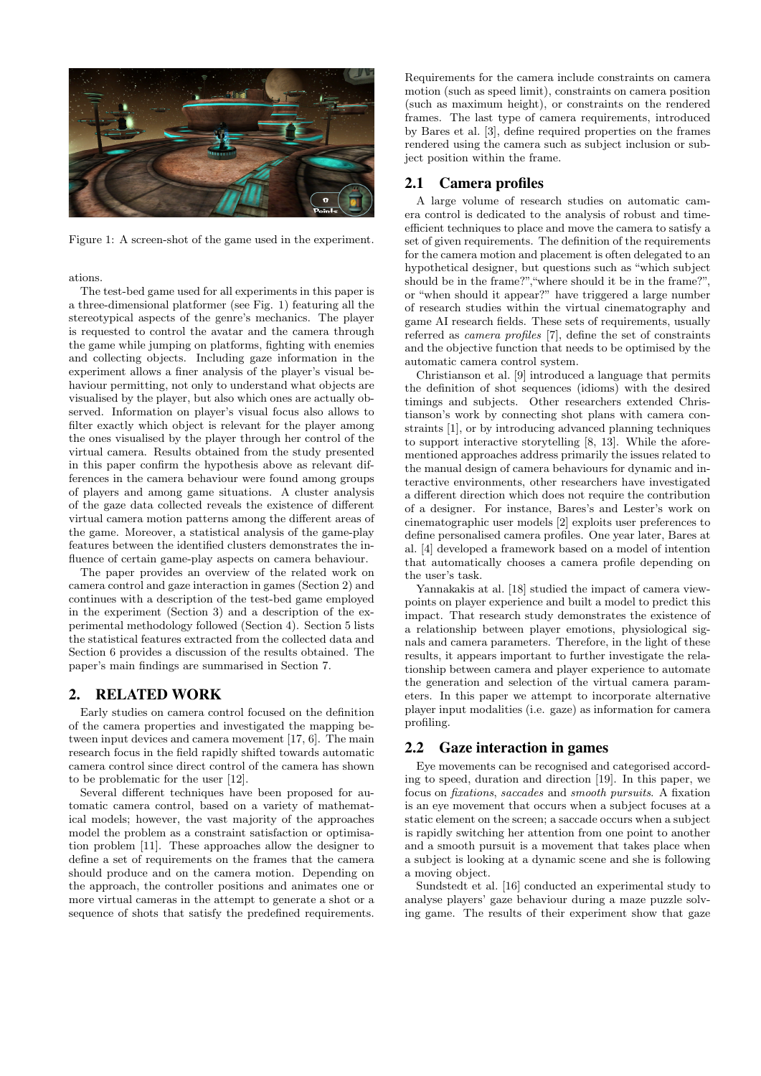

Figure 1: A screen-shot of the game used in the experiment.

ations.

The test-bed game used for all experiments in this paper is a three-dimensional platformer (see Fig. 1) featuring all the stereotypical aspects of the genre's mechanics. The player is requested to control the avatar and the camera through the game while jumping on platforms, fighting with enemies and collecting objects. Including gaze information in the experiment allows a finer analysis of the player's visual behaviour permitting, not only to understand what objects are visualised by the player, but also which ones are actually observed. Information on player's visual focus also allows to filter exactly which object is relevant for the player among the ones visualised by the player through her control of the virtual camera. Results obtained from the study presented in this paper confirm the hypothesis above as relevant differences in the camera behaviour were found among groups of players and among game situations. A cluster analysis of the gaze data collected reveals the existence of different virtual camera motion patterns among the different areas of the game. Moreover, a statistical analysis of the game-play features between the identified clusters demonstrates the influence of certain game-play aspects on camera behaviour.

The paper provides an overview of the related work on camera control and gaze interaction in games (Section 2) and continues with a description of the test-bed game employed in the experiment (Section 3) and a description of the experimental methodology followed (Section 4). Section 5 lists the statistical features extracted from the collected data and Section 6 provides a discussion of the results obtained. The paper's main findings are summarised in Section 7.

## 2. RELATED WORK

Early studies on camera control focused on the definition of the camera properties and investigated the mapping between input devices and camera movement [17, 6]. The main research focus in the field rapidly shifted towards automatic camera control since direct control of the camera has shown to be problematic for the user [12].

Several different techniques have been proposed for automatic camera control, based on a variety of mathematical models; however, the vast majority of the approaches model the problem as a constraint satisfaction or optimisation problem [11]. These approaches allow the designer to define a set of requirements on the frames that the camera should produce and on the camera motion. Depending on the approach, the controller positions and animates one or more virtual cameras in the attempt to generate a shot or a sequence of shots that satisfy the predefined requirements.

Requirements for the camera include constraints on camera motion (such as speed limit), constraints on camera position (such as maximum height), or constraints on the rendered frames. The last type of camera requirements, introduced by Bares et al. [3], define required properties on the frames rendered using the camera such as subject inclusion or subject position within the frame.

## 2.1 Camera profiles

A large volume of research studies on automatic camera control is dedicated to the analysis of robust and timeefficient techniques to place and move the camera to satisfy a set of given requirements. The definition of the requirements for the camera motion and placement is often delegated to an hypothetical designer, but questions such as "which subject should be in the frame?","where should it be in the frame?", or "when should it appear?" have triggered a large number of research studies within the virtual cinematography and game AI research fields. These sets of requirements, usually referred as camera profiles [7], define the set of constraints and the objective function that needs to be optimised by the automatic camera control system.

Christianson et al. [9] introduced a language that permits the definition of shot sequences (idioms) with the desired timings and subjects. Other researchers extended Christianson's work by connecting shot plans with camera constraints [1], or by introducing advanced planning techniques to support interactive storytelling [8, 13]. While the aforementioned approaches address primarily the issues related to the manual design of camera behaviours for dynamic and interactive environments, other researchers have investigated a different direction which does not require the contribution of a designer. For instance, Bares's and Lester's work on cinematographic user models [2] exploits user preferences to define personalised camera profiles. One year later, Bares at al. [4] developed a framework based on a model of intention that automatically chooses a camera profile depending on the user's task.

Yannakakis at al. [18] studied the impact of camera viewpoints on player experience and built a model to predict this impact. That research study demonstrates the existence of a relationship between player emotions, physiological signals and camera parameters. Therefore, in the light of these results, it appears important to further investigate the relationship between camera and player experience to automate the generation and selection of the virtual camera parameters. In this paper we attempt to incorporate alternative player input modalities (i.e. gaze) as information for camera profiling.

## 2.2 Gaze interaction in games

Eye movements can be recognised and categorised according to speed, duration and direction [19]. In this paper, we focus on fixations, saccades and smooth pursuits. A fixation is an eye movement that occurs when a subject focuses at a static element on the screen; a saccade occurs when a subject is rapidly switching her attention from one point to another and a smooth pursuit is a movement that takes place when a subject is looking at a dynamic scene and she is following a moving object.

Sundstedt et al. [16] conducted an experimental study to analyse players' gaze behaviour during a maze puzzle solving game. The results of their experiment show that gaze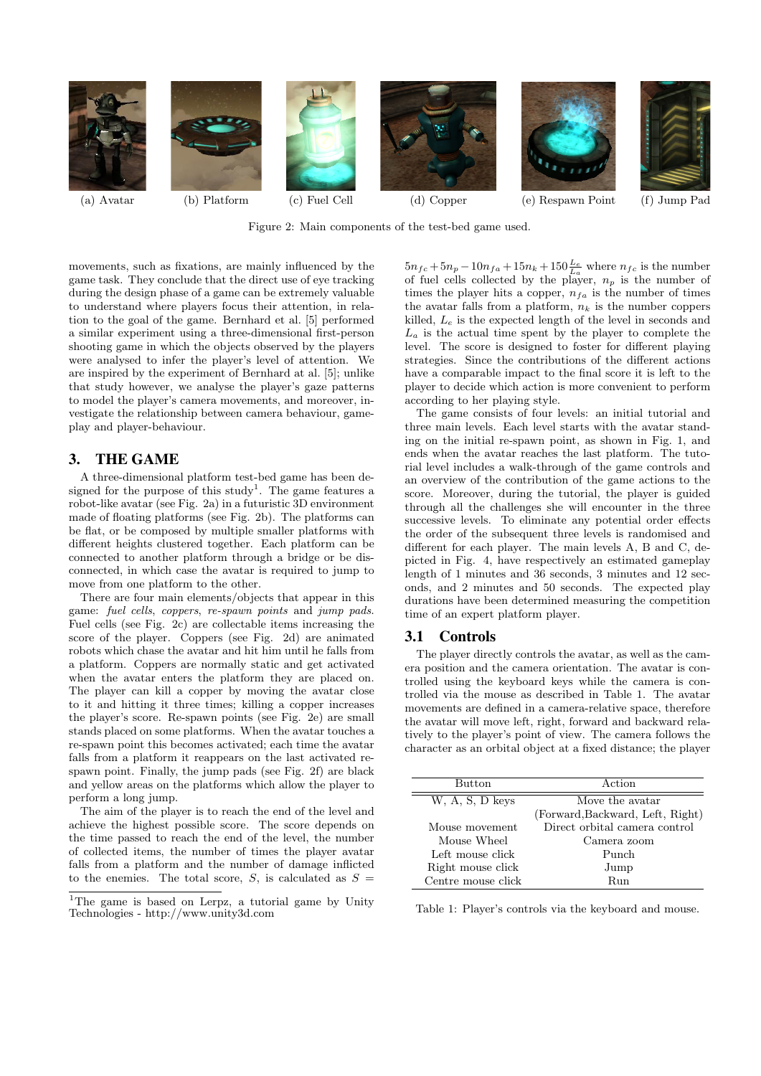

Figure 2: Main components of the test-bed game used.

movements, such as fixations, are mainly influenced by the game task. They conclude that the direct use of eye tracking during the design phase of a game can be extremely valuable to understand where players focus their attention, in relation to the goal of the game. Bernhard et al. [5] performed a similar experiment using a three-dimensional first-person shooting game in which the objects observed by the players were analysed to infer the player's level of attention. We are inspired by the experiment of Bernhard at al. [5]; unlike that study however, we analyse the player's gaze patterns to model the player's camera movements, and moreover, investigate the relationship between camera behaviour, gameplay and player-behaviour.

## 3. THE GAME

A three-dimensional platform test-bed game has been designed for the purpose of this study<sup>1</sup>. The game features a robot-like avatar (see Fig. 2a) in a futuristic 3D environment made of floating platforms (see Fig. 2b). The platforms can be flat, or be composed by multiple smaller platforms with different heights clustered together. Each platform can be connected to another platform through a bridge or be disconnected, in which case the avatar is required to jump to move from one platform to the other.

There are four main elements/objects that appear in this game: fuel cells, coppers, re-spawn points and jump pads. Fuel cells (see Fig. 2c) are collectable items increasing the score of the player. Coppers (see Fig. 2d) are animated robots which chase the avatar and hit him until he falls from a platform. Coppers are normally static and get activated when the avatar enters the platform they are placed on. The player can kill a copper by moving the avatar close to it and hitting it three times; killing a copper increases the player's score. Re-spawn points (see Fig. 2e) are small stands placed on some platforms. When the avatar touches a re-spawn point this becomes activated; each time the avatar falls from a platform it reappears on the last activated respawn point. Finally, the jump pads (see Fig. 2f) are black and yellow areas on the platforms which allow the player to perform a long jump.

The aim of the player is to reach the end of the level and achieve the highest possible score. The score depends on the time passed to reach the end of the level, the number of collected items, the number of times the player avatar falls from a platform and the number of damage inflicted to the enemies. The total score, S, is calculated as  $S =$ 

 $5n_{fc} + 5n_p - 10n_{fa} + 15n_k + 150\frac{L_e}{L_a}$  where  $n_{fc}$  is the number of fuel cells collected by the player,  $n_p$  is the number of times the player hits a copper,  $n_{fa}$  is the number of times the avatar falls from a platform,  $n_k$  is the number coppers killed,  $L_e$  is the expected length of the level in seconds and  $L_a$  is the actual time spent by the player to complete the level. The score is designed to foster for different playing strategies. Since the contributions of the different actions have a comparable impact to the final score it is left to the player to decide which action is more convenient to perform according to her playing style.

The game consists of four levels: an initial tutorial and three main levels. Each level starts with the avatar standing on the initial re-spawn point, as shown in Fig. 1, and ends when the avatar reaches the last platform. The tutorial level includes a walk-through of the game controls and an overview of the contribution of the game actions to the score. Moreover, during the tutorial, the player is guided through all the challenges she will encounter in the three successive levels. To eliminate any potential order effects the order of the subsequent three levels is randomised and different for each player. The main levels A, B and C, depicted in Fig. 4, have respectively an estimated gameplay length of 1 minutes and 36 seconds, 3 minutes and 12 seconds, and 2 minutes and 50 seconds. The expected play durations have been determined measuring the competition time of an expert platform player.

## 3.1 Controls

The player directly controls the avatar, as well as the camera position and the camera orientation. The avatar is controlled using the keyboard keys while the camera is controlled via the mouse as described in Table 1. The avatar movements are defined in a camera-relative space, therefore the avatar will move left, right, forward and backward relatively to the player's point of view. The camera follows the character as an orbital object at a fixed distance; the player

| Button             | Action                           |
|--------------------|----------------------------------|
| W, A, S, D keys    | Move the avatar                  |
|                    | (Forward, Backward, Left, Right) |
| Mouse movement     | Direct orbital camera control    |
| Mouse Wheel        | Camera zoom                      |
| Left mouse click   | Punch                            |
| Right mouse click  | Jump                             |
| Centre mouse click | Run                              |

Table 1: Player's controls via the keyboard and mouse.

<sup>&</sup>lt;sup>1</sup>The game is based on Lerpz, a tutorial game by Unity Technologies - http://www.unity3d.com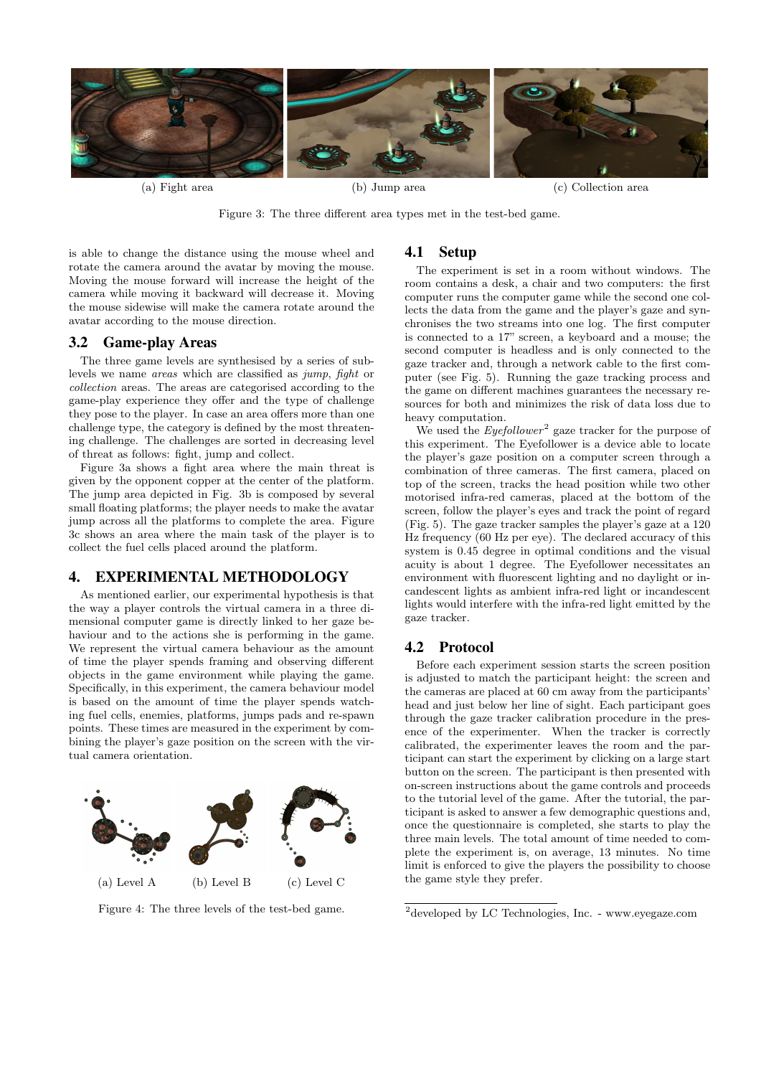

(a) Fight area (b) Jump area (c) Collection area

Figure 3: The three different area types met in the test-bed game.

is able to change the distance using the mouse wheel and rotate the camera around the avatar by moving the mouse. Moving the mouse forward will increase the height of the camera while moving it backward will decrease it. Moving the mouse sidewise will make the camera rotate around the avatar according to the mouse direction.

#### 3.2 Game-play Areas

The three game levels are synthesised by a series of sublevels we name areas which are classified as jump, fight or collection areas. The areas are categorised according to the game-play experience they offer and the type of challenge they pose to the player. In case an area offers more than one challenge type, the category is defined by the most threatening challenge. The challenges are sorted in decreasing level of threat as follows: fight, jump and collect.

Figure 3a shows a fight area where the main threat is given by the opponent copper at the center of the platform. The jump area depicted in Fig. 3b is composed by several small floating platforms; the player needs to make the avatar jump across all the platforms to complete the area. Figure 3c shows an area where the main task of the player is to collect the fuel cells placed around the platform.

#### 4. EXPERIMENTAL METHODOLOGY

As mentioned earlier, our experimental hypothesis is that the way a player controls the virtual camera in a three dimensional computer game is directly linked to her gaze behaviour and to the actions she is performing in the game. We represent the virtual camera behaviour as the amount of time the player spends framing and observing different objects in the game environment while playing the game. Specifically, in this experiment, the camera behaviour model is based on the amount of time the player spends watching fuel cells, enemies, platforms, jumps pads and re-spawn points. These times are measured in the experiment by combining the player's gaze position on the screen with the virtual camera orientation.



Figure 4: The three levels of the test-bed game.

#### 4.1 Setup

The experiment is set in a room without windows. The room contains a desk, a chair and two computers: the first computer runs the computer game while the second one collects the data from the game and the player's gaze and synchronises the two streams into one log. The first computer is connected to a 17" screen, a keyboard and a mouse; the second computer is headless and is only connected to the gaze tracker and, through a network cable to the first computer (see Fig. 5). Running the gaze tracking process and the game on different machines guarantees the necessary resources for both and minimizes the risk of data loss due to heavy computation.

We used the  $E y e f$ ollower<sup>2</sup> gaze tracker for the purpose of this experiment. The Eyefollower is a device able to locate the player's gaze position on a computer screen through a combination of three cameras. The first camera, placed on top of the screen, tracks the head position while two other motorised infra-red cameras, placed at the bottom of the screen, follow the player's eyes and track the point of regard (Fig. 5). The gaze tracker samples the player's gaze at a 120 Hz frequency (60 Hz per eye). The declared accuracy of this system is 0.45 degree in optimal conditions and the visual acuity is about 1 degree. The Eyefollower necessitates an environment with fluorescent lighting and no daylight or incandescent lights as ambient infra-red light or incandescent lights would interfere with the infra-red light emitted by the gaze tracker.

#### 4.2 Protocol

Before each experiment session starts the screen position is adjusted to match the participant height: the screen and the cameras are placed at 60 cm away from the participants' head and just below her line of sight. Each participant goes through the gaze tracker calibration procedure in the presence of the experimenter. When the tracker is correctly calibrated, the experimenter leaves the room and the participant can start the experiment by clicking on a large start button on the screen. The participant is then presented with on-screen instructions about the game controls and proceeds to the tutorial level of the game. After the tutorial, the participant is asked to answer a few demographic questions and, once the questionnaire is completed, she starts to play the three main levels. The total amount of time needed to complete the experiment is, on average, 13 minutes. No time limit is enforced to give the players the possibility to choose the game style they prefer.

<sup>2</sup>developed by LC Technologies, Inc. - www.eyegaze.com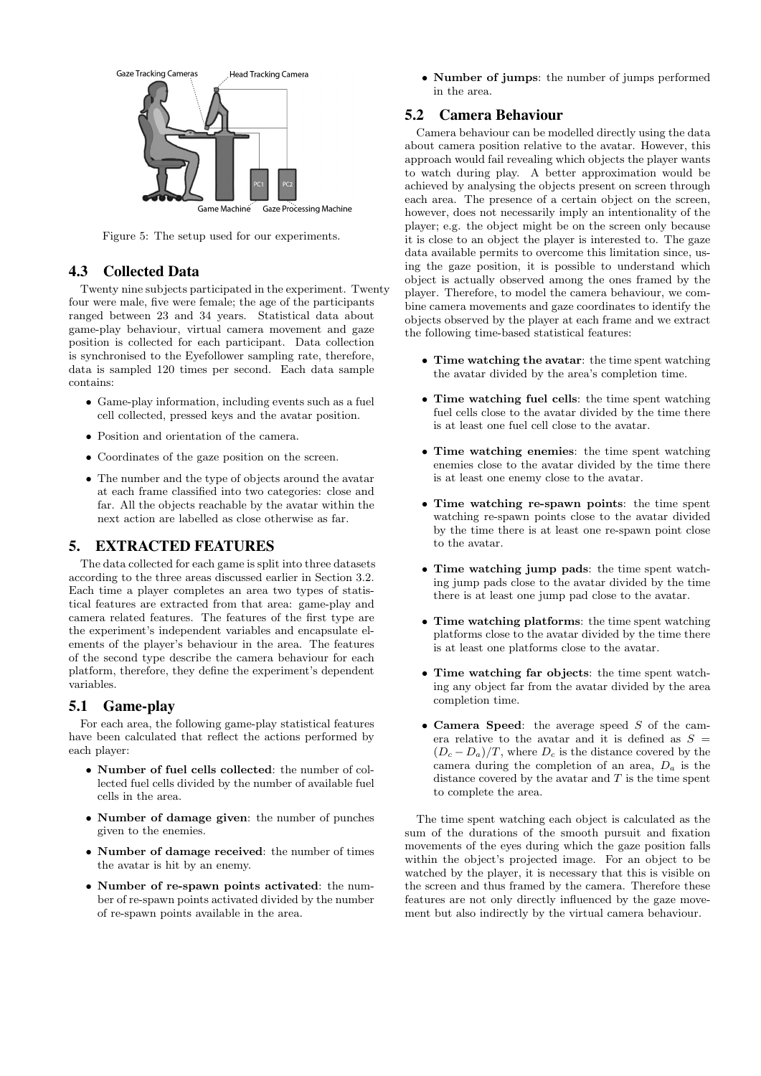

Figure 5: The setup used for our experiments.

## 4.3 Collected Data

Twenty nine subjects participated in the experiment. Twenty four were male, five were female; the age of the participants ranged between 23 and 34 years. Statistical data about game-play behaviour, virtual camera movement and gaze position is collected for each participant. Data collection is synchronised to the Eyefollower sampling rate, therefore, data is sampled 120 times per second. Each data sample contains:

- Game-play information, including events such as a fuel cell collected, pressed keys and the avatar position.
- Position and orientation of the camera.
- Coordinates of the gaze position on the screen.
- The number and the type of objects around the avatar at each frame classified into two categories: close and far. All the objects reachable by the avatar within the next action are labelled as close otherwise as far.

## 5. EXTRACTED FEATURES

The data collected for each game is split into three datasets according to the three areas discussed earlier in Section 3.2. Each time a player completes an area two types of statistical features are extracted from that area: game-play and camera related features. The features of the first type are the experiment's independent variables and encapsulate elements of the player's behaviour in the area. The features of the second type describe the camera behaviour for each platform, therefore, they define the experiment's dependent variables.

## 5.1 Game-play

For each area, the following game-play statistical features have been calculated that reflect the actions performed by each player:

- Number of fuel cells collected: the number of collected fuel cells divided by the number of available fuel cells in the area.
- Number of damage given: the number of punches given to the enemies.
- Number of damage received: the number of times the avatar is hit by an enemy.
- Number of re-spawn points activated: the number of re-spawn points activated divided by the number of re-spawn points available in the area.

• Number of jumps: the number of jumps performed in the area.

## 5.2 Camera Behaviour

Camera behaviour can be modelled directly using the data about camera position relative to the avatar. However, this approach would fail revealing which objects the player wants to watch during play. A better approximation would be achieved by analysing the objects present on screen through each area. The presence of a certain object on the screen, however, does not necessarily imply an intentionality of the player; e.g. the object might be on the screen only because it is close to an object the player is interested to. The gaze data available permits to overcome this limitation since, using the gaze position, it is possible to understand which object is actually observed among the ones framed by the player. Therefore, to model the camera behaviour, we combine camera movements and gaze coordinates to identify the objects observed by the player at each frame and we extract the following time-based statistical features:

- Time watching the avatar: the time spent watching the avatar divided by the area's completion time.
- Time watching fuel cells: the time spent watching fuel cells close to the avatar divided by the time there is at least one fuel cell close to the avatar.
- Time watching enemies: the time spent watching enemies close to the avatar divided by the time there is at least one enemy close to the avatar.
- Time watching re-spawn points: the time spent watching re-spawn points close to the avatar divided by the time there is at least one re-spawn point close to the avatar.
- Time watching jump pads: the time spent watching jump pads close to the avatar divided by the time there is at least one jump pad close to the avatar.
- Time watching platforms: the time spent watching platforms close to the avatar divided by the time there is at least one platforms close to the avatar.
- Time watching far objects: the time spent watching any object far from the avatar divided by the area completion time.
- Camera Speed: the average speed S of the camera relative to the avatar and it is defined as  $S =$  $(D_c - D_a)/T$ , where  $D_c$  is the distance covered by the camera during the completion of an area,  $D_a$  is the distance covered by the avatar and  $T$  is the time spent to complete the area.

The time spent watching each object is calculated as the sum of the durations of the smooth pursuit and fixation movements of the eyes during which the gaze position falls within the object's projected image. For an object to be watched by the player, it is necessary that this is visible on the screen and thus framed by the camera. Therefore these features are not only directly influenced by the gaze movement but also indirectly by the virtual camera behaviour.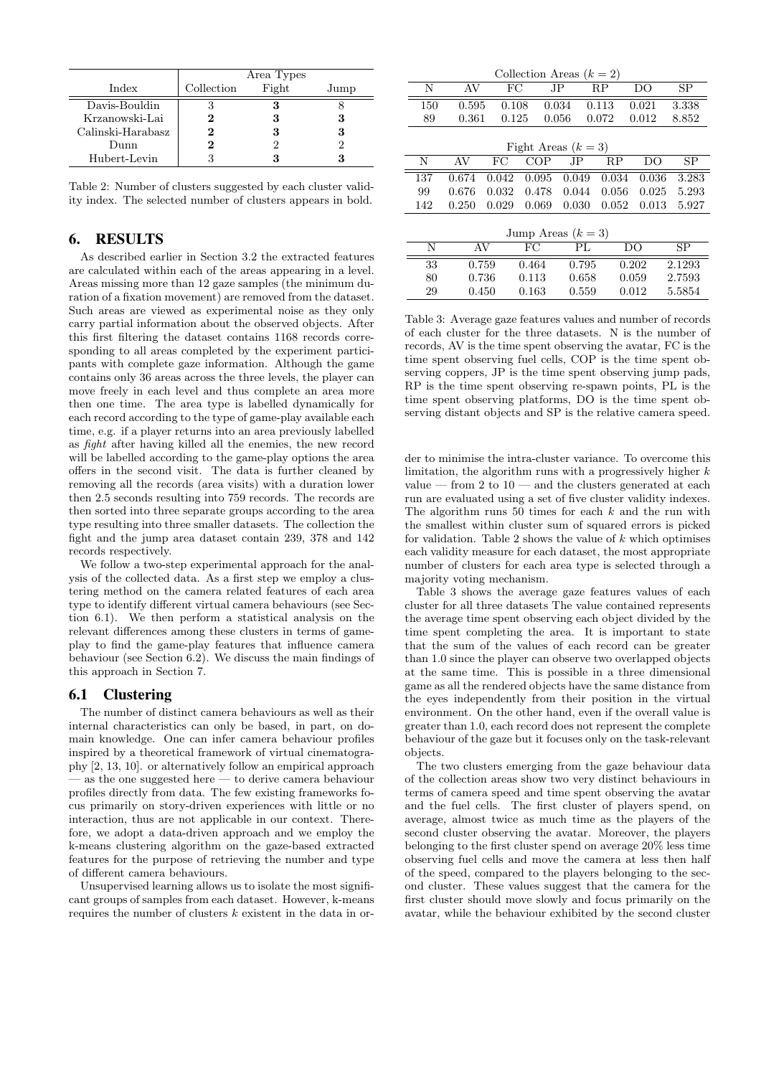|                   | Area Types |       |      |  |
|-------------------|------------|-------|------|--|
| Index             | Collection | Fight | Jump |  |
| Davis-Bouldin     | К          |       |      |  |
| Krzanowski-Lai    |            | 3     |      |  |
| Calinski-Harabasz |            |       |      |  |
| Dunn              |            |       |      |  |
| Hubert-Levin      |            |       |      |  |

Table 2: Number of clusters suggested by each cluster validity index. The selected number of clusters appears in bold.

## 6. RESULTS

As described earlier in Section 3.2 the extracted features are calculated within each of the areas appearing in a level. Areas missing more than 12 gaze samples (the minimum duration of a fixation movement) are removed from the dataset. Such areas are viewed as experimental noise as they only carry partial information about the observed objects. After this first filtering the dataset contains 1168 records corresponding to all areas completed by the experiment participants with complete gaze information. Although the game contains only 36 areas across the three levels, the player can move freely in each level and thus complete an area more then one time. The area type is labelled dynamically for each record according to the type of game-play available each time, e.g. if a player returns into an area previously labelled as fight after having killed all the enemies, the new record will be labelled according to the game-play options the area offers in the second visit. The data is further cleaned by removing all the records (area visits) with a duration lower then 2.5 seconds resulting into 759 records. The records are then sorted into three separate groups according to the area type resulting into three smaller datasets. The collection the fight and the jump area dataset contain 239, 378 and 142 records respectively.

We follow a two-step experimental approach for the analysis of the collected data. As a first step we employ a clustering method on the camera related features of each area type to identify different virtual camera behaviours (see Section 6.1). We then perform a statistical analysis on the relevant differences among these clusters in terms of gameplay to find the game-play features that influence camera behaviour (see Section 6.2). We discuss the main findings of this approach in Section 7.

#### 6.1 Clustering

The number of distinct camera behaviours as well as their internal characteristics can only be based, in part, on domain knowledge. One can infer camera behaviour profiles inspired by a theoretical framework of virtual cinematography [2, 13, 10]. or alternatively follow an empirical approach  $\alpha$  as the one suggested here — to derive camera behaviour profiles directly from data. The few existing frameworks focus primarily on story-driven experiences with little or no interaction, thus are not applicable in our context. Therefore, we adopt a data-driven approach and we employ the k-means clustering algorithm on the gaze-based extracted features for the purpose of retrieving the number and type of different camera behaviours.

Unsupervised learning allows us to isolate the most significant groups of samples from each dataset. However, k-means requires the number of clusters k existent in the data in or-

| Collection Areas $(k = 2)$ |                      |       |                     |       |       |       |       |
|----------------------------|----------------------|-------|---------------------|-------|-------|-------|-------|
| N                          | AV                   | FC    |                     | .JP   | RP    | DΟ    | SP    |
| 150                        | 0.595                | 0.108 |                     | 0.034 | 0.113 | 0.021 | 3.338 |
| 89                         | 0.361                | 0.125 |                     | 0.056 | 0.072 | 0.012 | 8.852 |
|                            |                      |       |                     |       |       |       |       |
|                            |                      |       | Fight Areas $(k=3)$ |       |       |       |       |
| N                          | AV                   | FC    | COP                 | JP.   | RP    | DΟ    | SP    |
| 137                        | 0.674                | 0.042 | 0.095               | 0.049 | 0.034 | 0.036 | 3.283 |
| 99                         | 0.676                | 0.032 | 0.478               | 0.044 | 0.056 | 0.025 | 5.293 |
| 142                        | 0.250                | 0.029 | 0.069               | 0.030 | 0.052 | 0.013 | 5.927 |
|                            |                      |       |                     |       |       |       |       |
| Jump Areas $(k=3)$         |                      |       |                     |       |       |       |       |
| N                          | SP<br>FC<br>AV<br>PL |       |                     |       |       |       |       |

|    | AV    | гU.   | E L   | 111   | ்ட     |
|----|-------|-------|-------|-------|--------|
| 33 | 0.759 | 0.464 | 0.795 | 0.202 | 2.1293 |
| 80 | 0.736 | 0.113 | 0.658 | 0.059 | 2.7593 |
| 29 | 0.450 | 0.163 | 0.559 | 0.012 | 5.5854 |
|    |       |       |       |       |        |

Table 3: Average gaze features values and number of records of each cluster for the three datasets. N is the number of records, AV is the time spent observing the avatar, FC is the time spent observing fuel cells, COP is the time spent observing coppers, JP is the time spent observing jump pads, RP is the time spent observing re-spawn points, PL is the time spent observing platforms, DO is the time spent observing distant objects and SP is the relative camera speed.

der to minimise the intra-cluster variance. To overcome this limitation, the algorithm runs with a progressively higher  $k$ value — from 2 to  $10$  — and the clusters generated at each run are evaluated using a set of five cluster validity indexes. The algorithm runs 50 times for each k and the run with the smallest within cluster sum of squared errors is picked for validation. Table 2 shows the value of  $k$  which optimises each validity measure for each dataset, the most appropriate number of clusters for each area type is selected through a majority voting mechanism.

Table 3 shows the average gaze features values of each cluster for all three datasets The value contained represents the average time spent observing each object divided by the time spent completing the area. It is important to state that the sum of the values of each record can be greater than 1.0 since the player can observe two overlapped objects at the same time. This is possible in a three dimensional game as all the rendered objects have the same distance from the eyes independently from their position in the virtual environment. On the other hand, even if the overall value is greater than 1.0, each record does not represent the complete behaviour of the gaze but it focuses only on the task-relevant objects.

The two clusters emerging from the gaze behaviour data of the collection areas show two very distinct behaviours in terms of camera speed and time spent observing the avatar and the fuel cells. The first cluster of players spend, on average, almost twice as much time as the players of the second cluster observing the avatar. Moreover, the players belonging to the first cluster spend on average 20% less time observing fuel cells and move the camera at less then half of the speed, compared to the players belonging to the second cluster. These values suggest that the camera for the first cluster should move slowly and focus primarily on the avatar, while the behaviour exhibited by the second cluster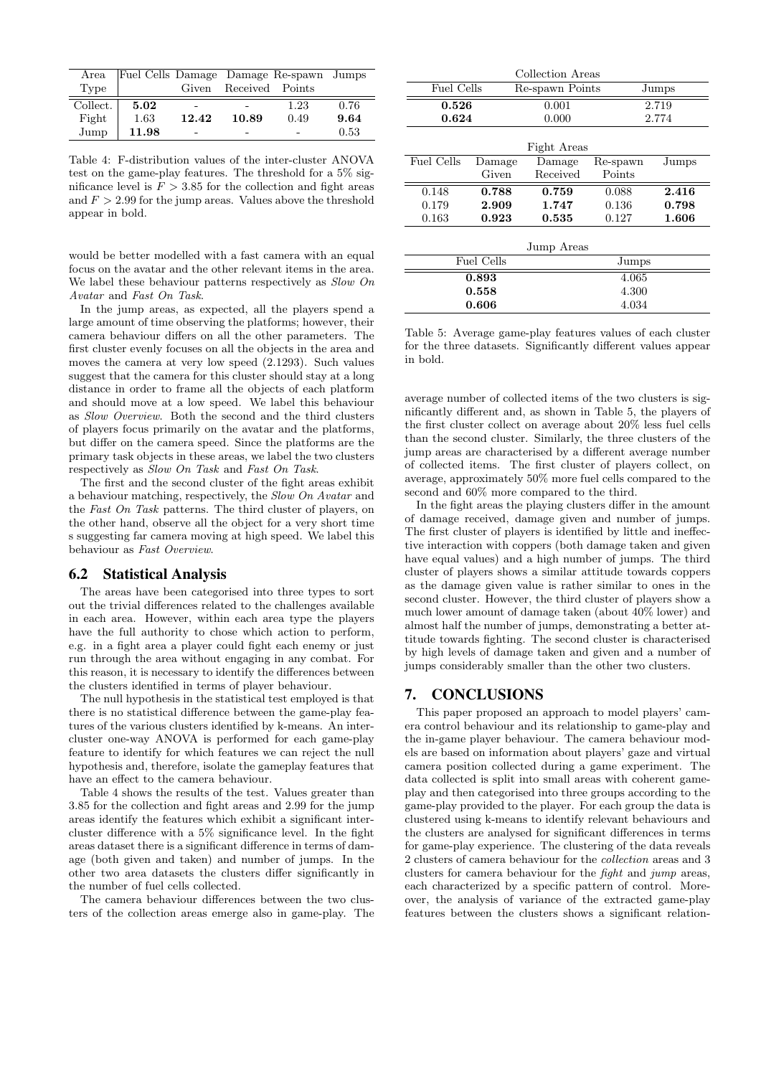| Area                    | Fuel Cells Damage Damage Re-spawn Jumps |                          |                 |      |      |
|-------------------------|-----------------------------------------|--------------------------|-----------------|------|------|
| Type                    |                                         | Given                    | Received Points |      |      |
| Collect.                | 5.02                                    |                          |                 | 1.23 | 0.76 |
| Fight                   | 1.63                                    | 12.42                    | 10.89           | 0.49 | 9.64 |
| $\frac{5}{\text{Jump}}$ | 11.98                                   | $\overline{\phantom{0}}$ |                 |      | 0.53 |

Table 4: F-distribution values of the inter-cluster ANOVA test on the game-play features. The threshold for a 5% significance level is  $F > 3.85$  for the collection and fight areas and  $F > 2.99$  for the jump areas. Values above the threshold appear in bold.

would be better modelled with a fast camera with an equal focus on the avatar and the other relevant items in the area. We label these behaviour patterns respectively as Slow On Avatar and Fast On Task.

In the jump areas, as expected, all the players spend a large amount of time observing the platforms; however, their camera behaviour differs on all the other parameters. The first cluster evenly focuses on all the objects in the area and moves the camera at very low speed (2.1293). Such values suggest that the camera for this cluster should stay at a long distance in order to frame all the objects of each platform and should move at a low speed. We label this behaviour as Slow Overview. Both the second and the third clusters of players focus primarily on the avatar and the platforms, but differ on the camera speed. Since the platforms are the primary task objects in these areas, we label the two clusters respectively as Slow On Task and Fast On Task.

The first and the second cluster of the fight areas exhibit a behaviour matching, respectively, the Slow On Avatar and the Fast On Task patterns. The third cluster of players, on the other hand, observe all the object for a very short time s suggesting far camera moving at high speed. We label this behaviour as Fast Overview.

#### 6.2 Statistical Analysis

The areas have been categorised into three types to sort out the trivial differences related to the challenges available in each area. However, within each area type the players have the full authority to chose which action to perform, e.g. in a fight area a player could fight each enemy or just run through the area without engaging in any combat. For this reason, it is necessary to identify the differences between the clusters identified in terms of player behaviour.

The null hypothesis in the statistical test employed is that there is no statistical difference between the game-play features of the various clusters identified by k-means. An intercluster one-way ANOVA is performed for each game-play feature to identify for which features we can reject the null hypothesis and, therefore, isolate the gameplay features that have an effect to the camera behaviour.

Table 4 shows the results of the test. Values greater than 3.85 for the collection and fight areas and 2.99 for the jump areas identify the features which exhibit a significant intercluster difference with a 5% significance level. In the fight areas dataset there is a significant difference in terms of damage (both given and taken) and number of jumps. In the other two area datasets the clusters differ significantly in the number of fuel cells collected.

The camera behaviour differences between the two clusters of the collection areas emerge also in game-play. The

| Collection Areas  |            |                    |          |       |  |  |  |
|-------------------|------------|--------------------|----------|-------|--|--|--|
| <b>Fuel Cells</b> |            | Re-spawn Points    |          | Jumps |  |  |  |
| 0.526             |            | 0.001              |          | 2.719 |  |  |  |
| 0.624             |            | 0.000              |          | 2.774 |  |  |  |
|                   |            | Fight Areas        |          |       |  |  |  |
| <b>Fuel Cells</b> | Damage     | Damage             | Re-spawn | Jumps |  |  |  |
|                   | Given      | Received<br>Points |          |       |  |  |  |
| 0.148             | 0.788      | 0.759              | 0.088    | 2.416 |  |  |  |
| 0.179             | 2.909      | 1.747<br>0.136     |          | 0.798 |  |  |  |
| 0.163             | 0.923      | 0.535              | 0.127    | 1.606 |  |  |  |
| Jump Areas        |            |                    |          |       |  |  |  |
|                   | Fuel Cells |                    | Jumps    |       |  |  |  |
|                   | 0.893      |                    | 4.065    |       |  |  |  |
|                   | 0.558      |                    | 4.300    |       |  |  |  |
|                   | 0.606      |                    | 4.034    |       |  |  |  |

Table 5: Average game-play features values of each cluster for the three datasets. Significantly different values appear in bold.

average number of collected items of the two clusters is significantly different and, as shown in Table 5, the players of the first cluster collect on average about 20% less fuel cells than the second cluster. Similarly, the three clusters of the jump areas are characterised by a different average number of collected items. The first cluster of players collect, on average, approximately 50% more fuel cells compared to the second and 60% more compared to the third.

In the fight areas the playing clusters differ in the amount of damage received, damage given and number of jumps. The first cluster of players is identified by little and ineffective interaction with coppers (both damage taken and given have equal values) and a high number of jumps. The third cluster of players shows a similar attitude towards coppers as the damage given value is rather similar to ones in the second cluster. However, the third cluster of players show a much lower amount of damage taken (about 40% lower) and almost half the number of jumps, demonstrating a better attitude towards fighting. The second cluster is characterised by high levels of damage taken and given and a number of jumps considerably smaller than the other two clusters.

## 7. CONCLUSIONS

This paper proposed an approach to model players' camera control behaviour and its relationship to game-play and the in-game player behaviour. The camera behaviour models are based on information about players' gaze and virtual camera position collected during a game experiment. The data collected is split into small areas with coherent gameplay and then categorised into three groups according to the game-play provided to the player. For each group the data is clustered using k-means to identify relevant behaviours and the clusters are analysed for significant differences in terms for game-play experience. The clustering of the data reveals 2 clusters of camera behaviour for the collection areas and 3 clusters for camera behaviour for the fight and jump areas, each characterized by a specific pattern of control. Moreover, the analysis of variance of the extracted game-play features between the clusters shows a significant relation